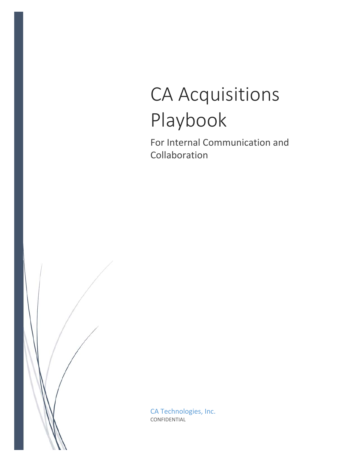# CA Acquisitions Playbook

For Internal Communication and Collaboration

CA Technologies, Inc. CONFIDENTIAL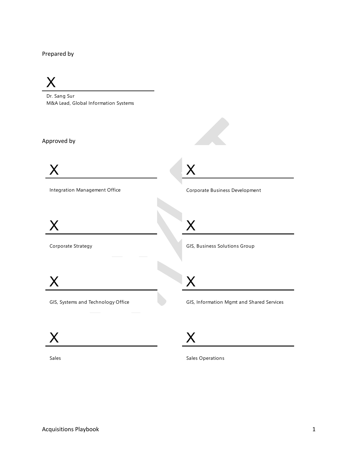#### Prepared by

# X

Dr. Sang Sur M&A Lead, Global Information Systems

#### Approved by



Integration Management Office



Corporate Strategy

 $\bm{\mathsf{X}}$ 

Corporate Business Development

X

X

GIS, Business Solutions Group

X

GIS, Systems and Technology Office

GIS, Information Mgmt and Shared Services

 $\bm{\mathsf{X}}$ 

X

Sales

Sales Operations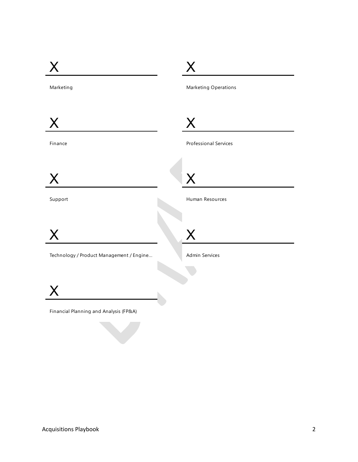| Marketing                                | Marketing Operations         |
|------------------------------------------|------------------------------|
|                                          |                              |
| X                                        | X                            |
| Finance                                  | <b>Professional Services</b> |
|                                          |                              |
| X                                        | X                            |
| Support                                  | Human Resources              |
|                                          |                              |
| X                                        | ${\sf X}$                    |
| Technology / Product Management / Engine | Admin Services               |
|                                          |                              |
|                                          |                              |
| Financial Planning and Analysis (FP&A)   |                              |
|                                          |                              |

the contract of the contract of the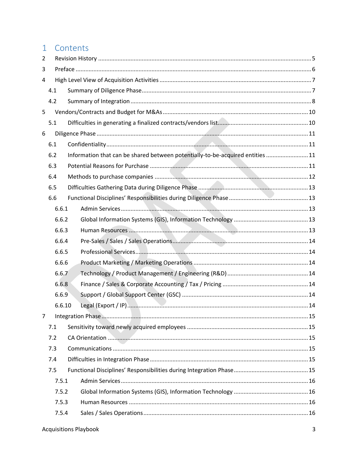## 1 Contents

| 2 |     |        |                                                                                |  |
|---|-----|--------|--------------------------------------------------------------------------------|--|
| 3 |     |        |                                                                                |  |
| 4 |     |        |                                                                                |  |
|   | 4.1 |        |                                                                                |  |
|   | 4.2 |        |                                                                                |  |
| 5 |     |        |                                                                                |  |
|   | 5.1 |        |                                                                                |  |
| 6 |     |        |                                                                                |  |
|   | 6.1 |        |                                                                                |  |
|   | 6.2 |        | Information that can be shared between potentially-to-be-acquired entities  11 |  |
|   | 6.3 |        |                                                                                |  |
|   | 6.4 |        |                                                                                |  |
|   | 6.5 |        |                                                                                |  |
|   | 6.6 |        |                                                                                |  |
|   |     | 6.6.1  |                                                                                |  |
|   |     | 6.6.2  |                                                                                |  |
|   |     | 6.6.3  |                                                                                |  |
|   |     | 6.6.4  |                                                                                |  |
|   |     | 6.6.5  |                                                                                |  |
|   |     | 6.6.6  |                                                                                |  |
|   |     | 6.6.7  |                                                                                |  |
|   |     | 6.6.8  |                                                                                |  |
|   |     | 6.6.9  |                                                                                |  |
|   |     | 6.6.10 |                                                                                |  |
|   |     |        |                                                                                |  |
|   | 7.1 |        |                                                                                |  |
|   | 7.2 |        |                                                                                |  |
|   | 7.3 |        |                                                                                |  |
|   | 7.4 |        |                                                                                |  |
|   | 7.5 |        |                                                                                |  |
|   |     | 7.5.1  |                                                                                |  |
|   |     | 7.5.2  |                                                                                |  |
|   |     | 7.5.3  |                                                                                |  |
|   |     | 7.5.4  |                                                                                |  |